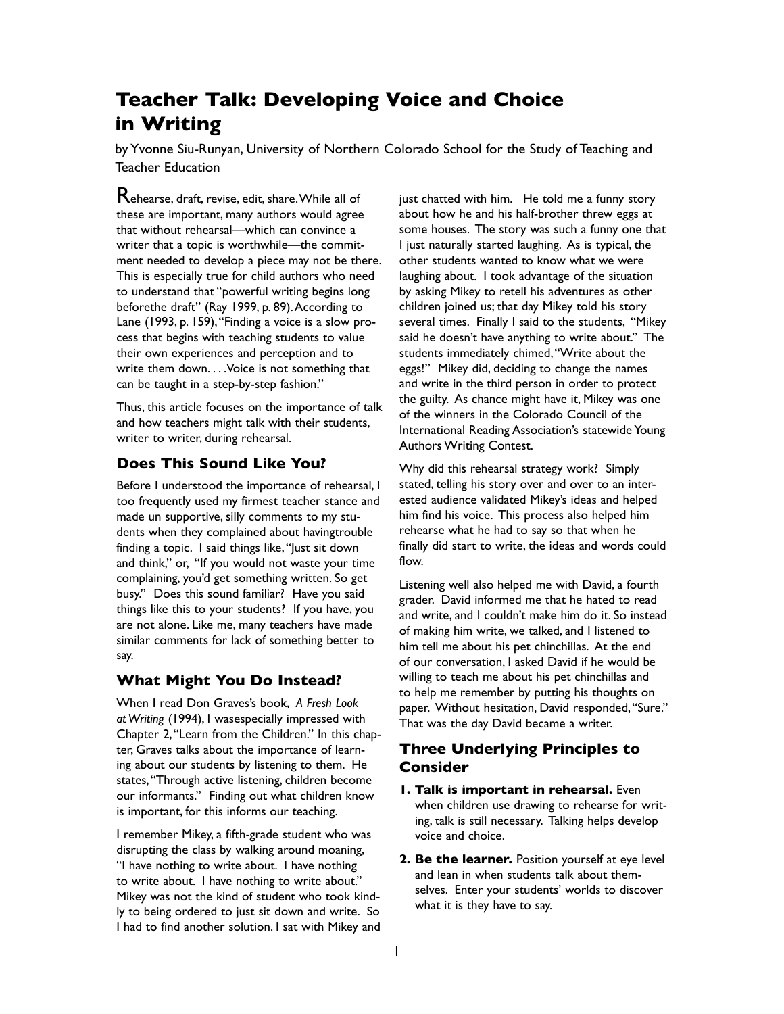## **Teacher Talk: Developing Voice and Choice in Writing**

by Yvonne Siu-Runyan, University of Northern Colorado School for the Study of Teaching and Teacher Education

Rehearse, draft, revise, edit, share. While all of these are important, many authors would agree that without rehearsal—which can convince a writer that a topic is worthwhile—the commitment needed to develop a piece may not be there. This is especially true for child authors who need to understand that "powerful writing begins long beforethe draft" (Ray 1999, p. 89). According to Lane (1993, p. 159), "Finding a voice is a slow process that begins with teaching students to value their own experiences and perception and to write them down....Voice is not something that can be taught in a step-by-step fashion."

Thus, this article focuses on the importance of talk and how teachers might talk with their students, writer to writer, during rehearsal.

## **Does This Sound Like You?**

Before I understood the importance of rehearsal, I too frequently used my firmest teacher stance and made un supportive, silly comments to my students when they complained about havingtrouble finding a topic. I said things like, "Just sit down and think," or, "If you would not waste your time complaining, you'd get something written. So get busy." Does this sound familiar? Have you said things like this to your students? If you have, you are not alone. Like me, many teachers have made similar comments for lack of something better to say.

## **What Might You Do Instead?**

When I read Don Graves's book, *A Fresh Look at Writing* (1994), I wasespecially impressed with Chapter 2, "Learn from the Children." In this chapter, Graves talks about the importance of learning about our students by listening to them. He states, "Through active listening, children become our informants." Finding out what children know is important, for this informs our teaching.

I remember Mikey, a fifth-grade student who was disrupting the class by walking around moaning, "I have nothing to write about. I have nothing to write about. I have nothing to write about." Mikey was not the kind of student who took kindly to being ordered to just sit down and write. So I had to find another solution. I sat with Mikey and

just chatted with him. He told me a funny story about how he and his half-brother threw eggs at some houses. The story was such a funny one that I just naturally started laughing. As is typical, the other students wanted to know what we were laughing about. I took advantage of the situation by asking Mikey to retell his adventures as other children joined us; that day Mikey told his story several times. Finally I said to the students, "Mikey said he doesn't have anything to write about." The students immediately chimed, "Write about the eggs!" Mikey did, deciding to change the names and write in the third person in order to protect the guilty. As chance might have it, Mikey was one of the winners in the Colorado Council of the International Reading Association's statewide Young Authors Writing Contest.

Why did this rehearsal strategy work? Simply stated, telling his story over and over to an interested audience validated Mikey's ideas and helped him find his voice. This process also helped him rehearse what he had to say so that when he finally did start to write, the ideas and words could flow.

Listening well also helped me with David, a fourth grader. David informed me that he hated to read and write, and I couldn't make him do it. So instead of making him write, we talked, and I listened to him tell me about his pet chinchillas. At the end of our conversation, I asked David if he would be willing to teach me about his pet chinchillas and to help me remember by putting his thoughts on paper. Without hesitation, David responded, "Sure." That was the day David became a writer.

## **Three Underlying Principles to Consider**

- **1. Talk is important in rehearsal.** Even when children use drawing to rehearse for writing, talk is still necessary. Talking helps develop voice and choice.
- **2. Be the learner.** Position yourself at eye level and lean in when students talk about themselves. Enter your students' worlds to discover what it is they have to say.